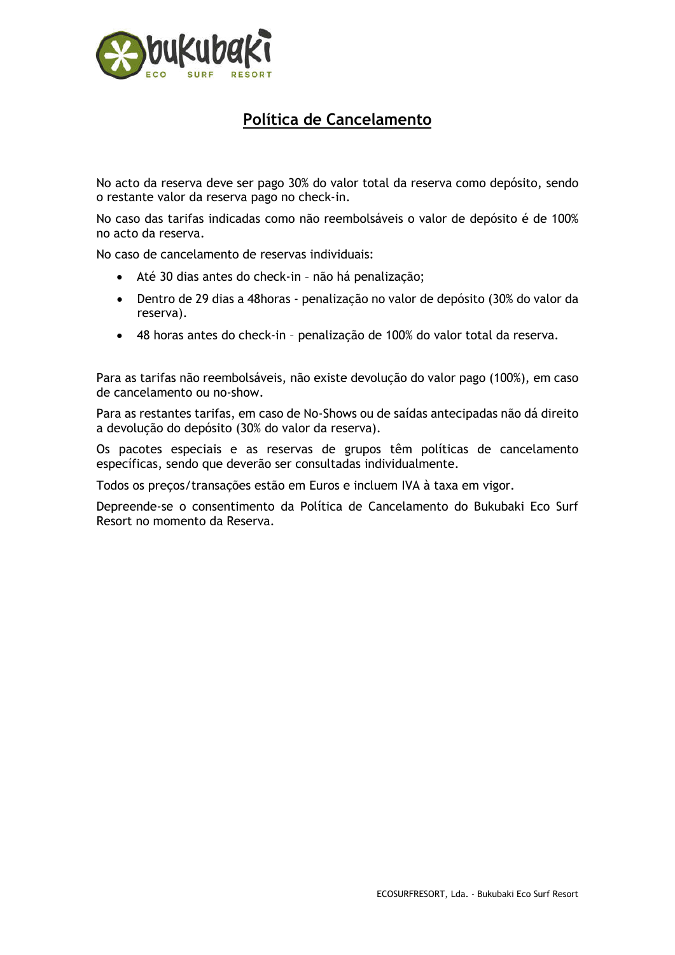

## Política de Cancelamento

No acto da reserva deve ser pago 30% do valor total da reserva como depósito, sendo o restante valor da reserva pago no check-in.

No caso das tarifas indicadas como não reembolsáveis o valor de depósito é de 100% no acto da reserva.

No caso de cancelamento de reservas individuais:

- Até 30 dias antes do check-in não há penalização;
- Dentro de 29 dias a 48horas penalização no valor de depósito (30% do valor da reserva).
- 48 horas antes do check-in penalização de 100% do valor total da reserva.

Para as tarifas não reembolsáveis, não existe devolução do valor pago (100%), em caso de cancelamento ou no-show.

Para as restantes tarifas, em caso de No-Shows ou de saídas antecipadas não dá direito a devolução do depósito (30% do valor da reserva).

Os pacotes especiais e as reservas de grupos têm políticas de cancelamento específicas, sendo que deverão ser consultadas individualmente.

Todos os preços/transações estão em Euros e incluem IVA à taxa em vigor.

Depreende-se o consentimento da Política de Cancelamento do Bukubaki Eco Surf Resort no momento da Reserva.